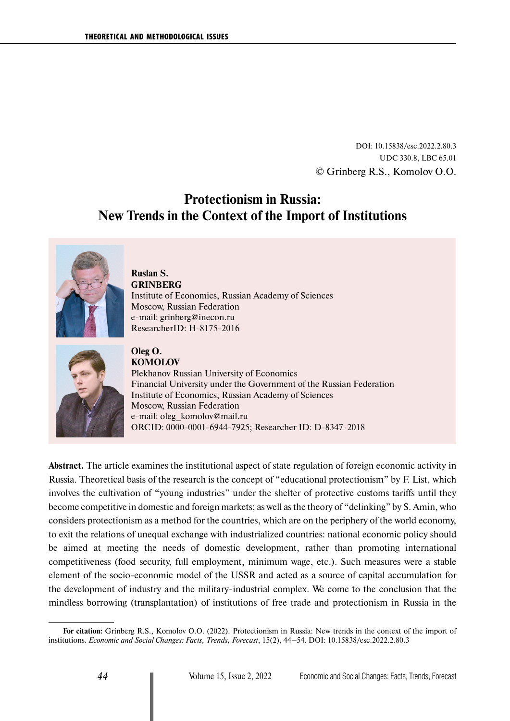DOI: 10.15838/esc.2022.2.80.3 UDC 330.8, LBC 65.01 © Grinberg R.S., Komolov O.O.

# **Protectionism in Russia: New Trends in the Context of the Import of Institutions**



### **Ruslan S. GRINBERG** Institute of Economics, Russian Academy of Sciences Moscow, Russian Federation е-mail: [grinberg@inecon.ru](mailto:grinberg@inecon.ru) ResearcherID: [H-8175-2016](https://publons.com/researcher/2261626/ruslan-s-grinberg/)



**Oleg O. KOMOLOV** Plekhanov Russian University of Economics Financial University under the Government of the Russian Federation Institute of Economics, Russian Academy of Sciences Moscow, Russian Federation е-mail: [oleg\\_komolov@mail.ru](mailto:oleg_komolov@mail.ru) ОRCID: [0000-0001-6944-7925](https://orcid.org/0000-0001-6944-7925); Researcher ID: [D-8347-2018](https://publons.com/researcher/1964492/oleg-komolov/)

**Abstract.** The article examines the institutional aspect of state regulation of foreign economic activity in Russia. Theoretical basis of the research is the concept of "educational protectionism" by F. List, which involves the cultivation of "young industries" under the shelter of protective customs tariffs until they become competitive in domestic and foreign markets; as well as the theory of "delinking" by S. Amin, who considers protectionism as a method for the countries, which are on the periphery of the world economy, to exit the relations of unequal exchange with industrialized countries: national economic policy should be aimed at meeting the needs of domestic development, rather than promoting international competitiveness (food security, full employment, minimum wage, etc.). Such measures were a stable element of the socio-economic model of the USSR and acted as a source of capital accumulation for the development of industry and the military-industrial complex. We come to the conclusion that the mindless borrowing (transplantation) of institutions of free trade and protectionism in Russia in the

**For citation:** Grinberg R.S., Komolov O.O. (2022). Protectionism in Russia: New trends in the context of the import of institutions. *Economic and Social Changes: Facts, Trends, Forecast*, 15(2), 44–54. DOI: 10.15838/esc.2022.2.80.3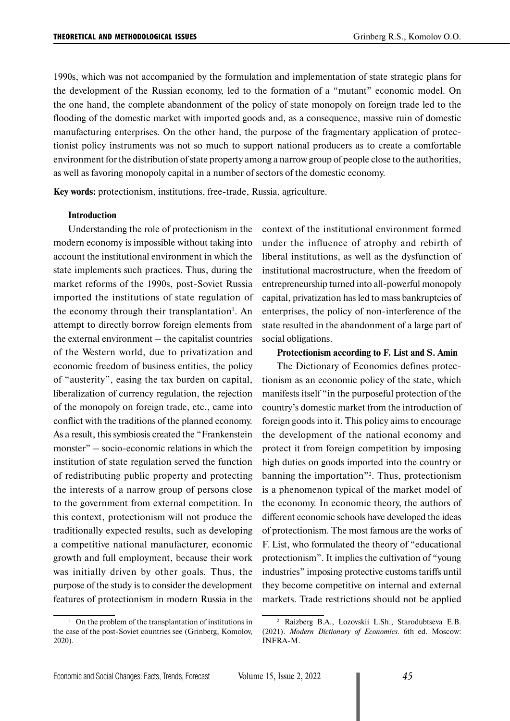1990s, which was not accompanied by the formulation and implementation of state strategic plans for the development of the Russian economy, led to the formation of a "mutant" economic model. On the one hand, the complete abandonment of the policy of state monopoly on foreign trade led to the flooding of the domestic market with imported goods and, as a consequence, massive ruin of domestic manufacturing enterprises. On the other hand, the purpose of the fragmentary application of protectionist policy instruments was not so much to support national producers as to create a comfortable environment for the distribution of state property among a narrow group of people close to the authorities, as well as favoring monopoly capital in a number of sectors of the domestic economy.

**Key words:** protectionism, institutions, free-trade, Russia, agriculture.

#### **Introduction**

Understanding the role of protectionism in the modern economy is impossible without taking into account the institutional environment in which the state implements such practices. Thus, during the market reforms of the 1990s, post-Soviet Russia imported the institutions of state regulation of the economy through their transplantation<sup>1</sup>. An attempt to directly borrow foreign elements from the external environment – the capitalist countries of the Western world, due to privatization and economic freedom of business entities, the policy of "austerity", easing the tax burden on capital, liberalization of currency regulation, the rejection of the monopoly on foreign trade, etc., came into conflict with the traditions of the planned economy. As a result, this symbiosis created the "Frankenstein monster" – socio-economic relations in which the institution of state regulation served the function of redistributing public property and protecting the interests of a narrow group of persons close to the government from external competition. In this context, protectionism will not produce the traditionally expected results, such as developing a competitive national manufacturer, economic growth and full employment, because their work was initially driven by other goals. Thus, the purpose of the study is to consider the development features of protectionism in modern Russia in the

context of the institutional environment formed under the influence of atrophy and rebirth of liberal institutions, as well as the dysfunction of institutional macrostructure, when the freedom of entrepreneurship turned into all-powerful monopoly capital, privatization has led to mass bankruptcies of enterprises, the policy of non-interference of the state resulted in the abandonment of a large part of social obligations.

#### **Protectionism according to F. List and S. Amin**

The Dictionary of Economics defines protectionism as an economic policy of the state, which manifests itself "in the purposeful protection of the country's domestic market from the introduction of foreign goods into it. This policy aims to encourage the development of the national economy and protect it from foreign competition by imposing high duties on goods imported into the country or banning the importation"2 . Thus, protectionism is a phenomenon typical of the market model of the economy. In economic theory, the authors of different economic schools have developed the ideas of protectionism. The most famous are the works of F. List, who formulated the theory of "educational protectionism". It implies the cultivation of "young industries" imposing protective customs tariffs until they become competitive on internal and external markets. Trade restrictions should not be applied

<sup>&</sup>lt;sup>1</sup> On the problem of the transplantation of institutions in the case of the post-Soviet countries see (Grinberg, Komolov, 2020).

<sup>2</sup> Raizberg B.A., Lozovskii L.Sh., Starodubtseva E.B. (2021). *Modern Dictionary of Economics.* 6th ed. Moscow: INFRA-M.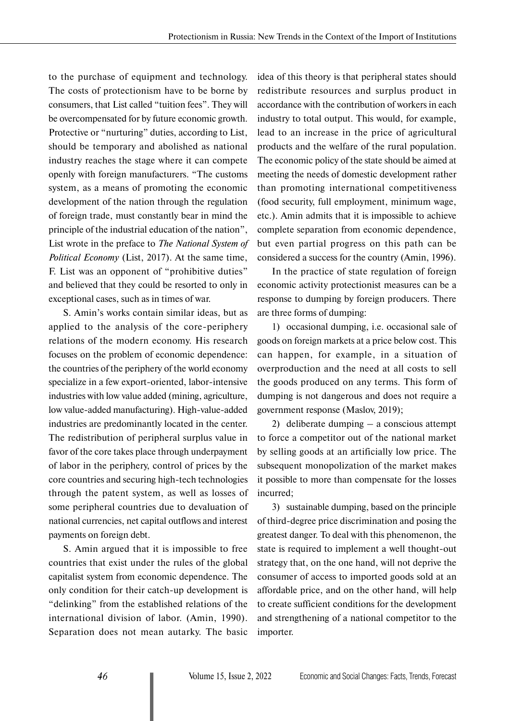to the purchase of equipment and technology. The costs of protectionism have to be borne by consumers, that List called "tuition fees". They will be overcompensated for by future economic growth. Protective or "nurturing" duties, according to List, should be temporary and abolished as national industry reaches the stage where it can compete openly with foreign manufacturers. "The customs system, as a means of promoting the economic development of the nation through the regulation of foreign trade, must constantly bear in mind the principle of the industrial education of the nation", List wrote in the preface to *The National System of Political Economy* (List, 2017). At the same time, F. List was an opponent of "prohibitive duties" and believed that they could be resorted to only in exceptional cases, such as in times of war.

S. Amin's works contain similar ideas, but as applied to the analysis of the core-periphery relations of the modern economy. His research focuses on the problem of economic dependence: the countries of the periphery of the world economy specialize in a few export-oriented, labor-intensive industries with low value added (mining, agriculture, low value-added manufacturing). High-value-added industries are predominantly located in the center. The redistribution of peripheral surplus value in favor of the core takes place through underpayment of labor in the periphery, control of prices by the core countries and securing high-tech technologies through the patent system, as well as losses of some peripheral countries due to devaluation of national currencies, net capital outflows and interest payments on foreign debt.

S. Amin argued that it is impossible to free countries that exist under the rules of the global capitalist system from economic dependence. The only condition for their catch-up development is "delinking" from the established relations of the international division of labor. (Amin, 1990). Separation does not mean autarky. The basic

idea of this theory is that peripheral states should redistribute resources and surplus product in accordance with the contribution of workers in each industry to total output. This would, for example, lead to an increase in the price of agricultural products and the welfare of the rural population. The economic policy of the state should be aimed at meeting the needs of domestic development rather than promoting international competitiveness (food security, full employment, minimum wage, etc.). Amin admits that it is impossible to achieve complete separation from economic dependence, but even partial progress on this path can be considered a success for the country (Amin, 1996).

In the practice of state regulation of foreign economic activity protectionist measures can be a response to dumping by foreign producers. There are three forms of dumping:

1) occasional dumping, i.e. occasional sale of goods on foreign markets at a price below cost. This can happen, for example, in a situation of overproduction and the need at all costs to sell the goods produced on any terms. This form of dumping is not dangerous and does not require a government response (Maslov, 2019);

2) deliberate dumping – a conscious attempt to force a competitor out of the national market by selling goods at an artificially low price. The subsequent monopolization of the market makes it possible to more than compensate for the losses incurred;

3) sustainable dumping, based on the principle of third-degree price discrimination and posing the greatest danger. To deal with this phenomenon, the state is required to implement a well thought-out strategy that, on the one hand, will not deprive the consumer of access to imported goods sold at an affordable price, and on the other hand, will help to create sufficient conditions for the development and strengthening of a national competitor to the importer.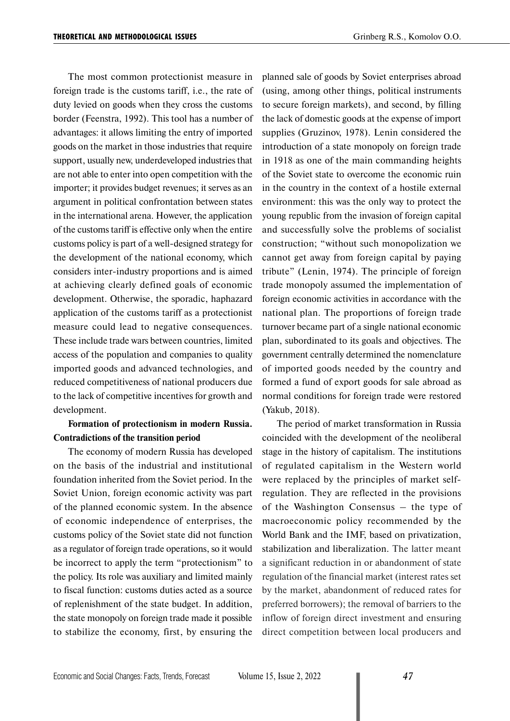The most common protectionist measure in foreign trade is the customs tariff, i.e., the rate of duty levied on goods when they cross the customs border (Feenstra, 1992). This tool has a number of advantages: it allows limiting the entry of imported goods on the market in those industries that require support, usually new, underdeveloped industries that are not able to enter into open competition with the importer; it provides budget revenues; it serves as an argument in political confrontation between states in the international arena. However, the application of the customs tariff is effective only when the entire customs policy is part of a well-designed strategy for the development of the national economy, which considers inter-industry proportions and is aimed at achieving clearly defined goals of economic development. Otherwise, the sporadic, haphazard application of the customs tariff as a protectionist measure could lead to negative consequences. These include trade wars between countries, limited access of the population and companies to quality imported goods and advanced technologies, and reduced competitiveness of national producers due to the lack of competitive incentives for growth and development.

### **Formation of protectionism in modern Russia. Contradictions of the transition period**

The economy of modern Russia has developed on the basis of the industrial and institutional foundation inherited from the Soviet period. In the Soviet Union, foreign economic activity was part of the planned economic system. In the absence of economic independence of enterprises, the customs policy of the Soviet state did not function as a regulator of foreign trade operations, so it would be incorrect to apply the term "protectionism" to the policy. Its role was auxiliary and limited mainly to fiscal function: customs duties acted as a source of replenishment of the state budget. In addition, the state monopoly on foreign trade made it possible to stabilize the economy, first, by ensuring the

planned sale of goods by Soviet enterprises abroad (using, among other things, political instruments to secure foreign markets), and second, by filling the lack of domestic goods at the expense of import supplies (Gruzinov, 1978). Lenin considered the introduction of a state monopoly on foreign trade in 1918 as one of the main commanding heights of the Soviet state to overcome the economic ruin in the country in the context of a hostile external environment: this was the only way to protect the young republic from the invasion of foreign capital and successfully solve the problems of socialist construction; "without such monopolization we cannot get away from foreign capital by paying tribute" (Lenin, 1974). The principle of foreign trade monopoly assumed the implementation of foreign economic activities in accordance with the national plan. The proportions of foreign trade turnover became part of a single national economic plan, subordinated to its goals and objectives. The government centrally determined the nomenclature of imported goods needed by the country and formed a fund of export goods for sale abroad as normal conditions for foreign trade were restored (Yakub, 2018).

The period of market transformation in Russia coincided with the development of the neoliberal stage in the history of capitalism. The institutions of regulated capitalism in the Western world were replaced by the principles of market selfregulation. They are reflected in the provisions of the Washington Consensus – the type of macroeconomic policy recommended by the World Bank and the IMF, based on privatization, stabilization and liberalization. The latter meant a significant reduction in or abandonment of state regulation of the financial market (interest rates set by the market, abandonment of reduced rates for preferred borrowers); the removal of barriers to the inflow of foreign direct investment and ensuring direct competition between local producers and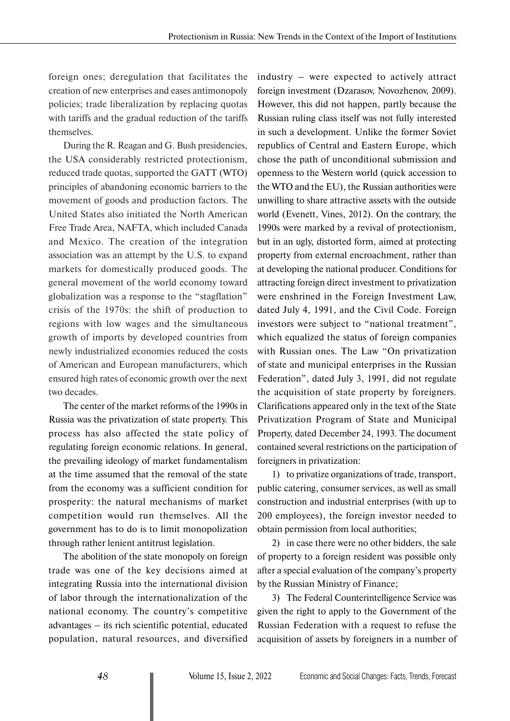foreign ones; deregulation that facilitates the creation of new enterprises and eases antimonopoly policies; trade liberalization by replacing quotas with tariffs and the gradual reduction of the tariffs themselves.

During the R. Reagan and G. Bush presidencies, the USA considerably restricted protectionism, reduced trade quotas, supported the GATT (WTO) principles of abandoning economic barriers to the movement of goods and production factors. The United States also initiated the North American Free Trade Area, NAFTA, which included Canada and Mexico. The creation of the integration association was an attempt by the U.S. to expand markets for domestically produced goods. The general movement of the world economy toward globalization was a response to the "stagflation" crisis of the 1970s: the shift of production to regions with low wages and the simultaneous growth of imports by developed countries from newly industrialized economies reduced the costs of American and European manufacturers, which ensured high rates of economic growth over the next two decades.

The center of the market reforms of the 1990s in Russia was the privatization of state property. This process has also affected the state policy of regulating foreign economic relations. In general, the prevailing ideology of market fundamentalism at the time assumed that the removal of the state from the economy was a sufficient condition for prosperity: the natural mechanisms of market competition would run themselves. All the government has to do is to limit monopolization through rather lenient antitrust legislation.

The abolition of the state monopoly on foreign trade was one of the key decisions aimed at integrating Russia into the international division of labor through the internationalization of the national economy. The country's competitive advantages – its rich scientific potential, educated population, natural resources, and diversified industry – were expected to actively attract foreign investment (Dzarasov, Novozhenov, 2009). However, this did not happen, partly because the Russian ruling class itself was not fully interested in such a development. Unlike the former Soviet republics of Central and Eastern Europe, which chose the path of unconditional submission and openness to the Western world (quick accession to the WTO and the EU), the Russian authorities were unwilling to share attractive assets with the outside world (Evenett, Vines, 2012). On the contrary, the 1990s were marked by a revival of protectionism, but in an ugly, distorted form, aimed at protecting property from external encroachment, rather than at developing the national producer. Conditions for attracting foreign direct investment to privatization were enshrined in the Foreign Investment Law, dated July 4, 1991, and the Civil Code. Foreign investors were subject to "national treatment", which equalized the status of foreign companies with Russian ones. The Law "On privatization of state and municipal enterprises in the Russian Federation", dated July 3, 1991, did not regulate the acquisition of state property by foreigners. Clarifications appeared only in the text of the State Privatization Program of State and Municipal Property, dated December 24, 1993. The document contained several restrictions on the participation of foreigners in privatization:

1) to privatize organizations of trade, transport, public catering, consumer services, as well as small construction and industrial enterprises (with up to 200 employees), the foreign investor needed to obtain permission from local authorities;

2) in case there were no other bidders, the sale of property to a foreign resident was possible only after a special evaluation of the company's property by the Russian Ministry of Finance;

3) The Federal Counterintelligence Service was given the right to apply to the Government of the Russian Federation with a request to refuse the acquisition of assets by foreigners in a number of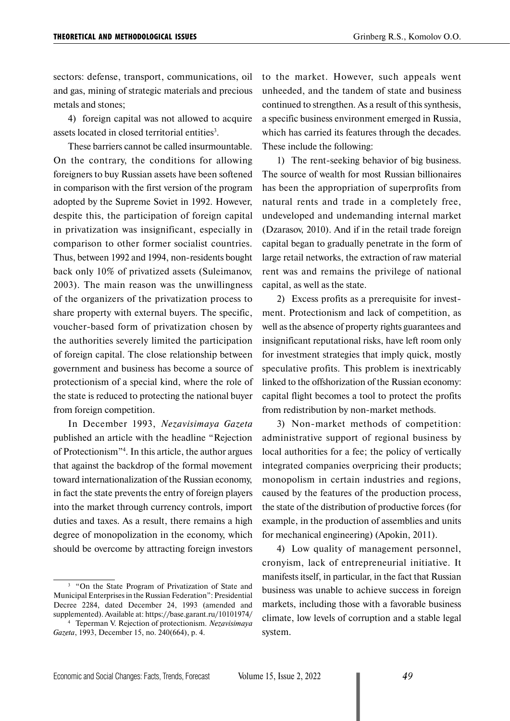sectors: defense, transport, communications, oil and gas, mining of strategic materials and precious metals and stones;

4) foreign capital was not allowed to acquire assets located in closed territorial entities<sup>3</sup>.

These barriers cannot be called insurmountable. On the contrary, the conditions for allowing foreigners to buy Russian assets have been softened in comparison with the first version of the program adopted by the Supreme Soviet in 1992. However, despite this, the participation of foreign capital in privatization was insignificant, especially in comparison to other former socialist countries. Thus, between 1992 and 1994, non-residents bought back only 10% of privatized assets (Suleimanov, 2003). The main reason was the unwillingness of the organizers of the privatization process to share property with external buyers. The specific, voucher-based form of privatization chosen by the authorities severely limited the participation of foreign capital. The close relationship between government and business has become a source of protectionism of a special kind, where the role of the state is reduced to protecting the national buyer from foreign competition.

In December 1993, *Nezavisimaya Gazeta* published an article with the headline "Rejection of Protectionism"4 . In this article, the author argues that against the backdrop of the formal movement toward internationalization of the Russian economy, in fact the state prevents the entry of foreign players into the market through currency controls, import duties and taxes. As a result, there remains a high degree of monopolization in the economy, which should be overcome by attracting foreign investors

to the market. However, such appeals went unheeded, and the tandem of state and business continued to strengthen. As a result of this synthesis, a specific business environment emerged in Russia, which has carried its features through the decades. These include the following:

1) The rent-seeking behavior of big business. The source of wealth for most Russian billionaires has been the appropriation of superprofits from natural rents and trade in a completely free, undeveloped and undemanding internal market (Dzarasov, 2010). And if in the retail trade foreign capital began to gradually penetrate in the form of large retail networks, the extraction of raw material rent was and remains the privilege of national capital, as well as the state.

2) Excess profits as a prerequisite for investment. Protectionism and lack of competition, as well as the absence of property rights guarantees and insignificant reputational risks, have left room only for investment strategies that imply quick, mostly speculative profits. This problem is inextricably linked to the offshorization of the Russian economy: capital flight becomes a tool to protect the profits from redistribution by non-market methods.

3) Non-market methods of competition: administrative support of regional business by local authorities for a fee; the policy of vertically integrated companies overpricing their products; monopolism in certain industries and regions, caused by the features of the production process, the state of the distribution of productive forces (for example, in the production of assemblies and units for mechanical engineering) (Apokin, 2011).

4) Low quality of management personnel, cronyism, lack of entrepreneurial initiative. It manifests itself, in particular, in the fact that Russian business was unable to achieve success in foreign markets, including those with a favorable business climate, low levels of corruption and a stable legal system.

<sup>3</sup> "On the State Program of Privatization of State and Municipal Enterprises in the Russian Federation": Presidential Decree 2284, dated December 24, 1993 (amended and supplemented). Available at: https://base.garant.ru/10101974/

<sup>4</sup> Teperman V. Rejection of protectionism. *Nezavisimaya Gazeta*, 1993, December 15, no. 240(664), p. 4.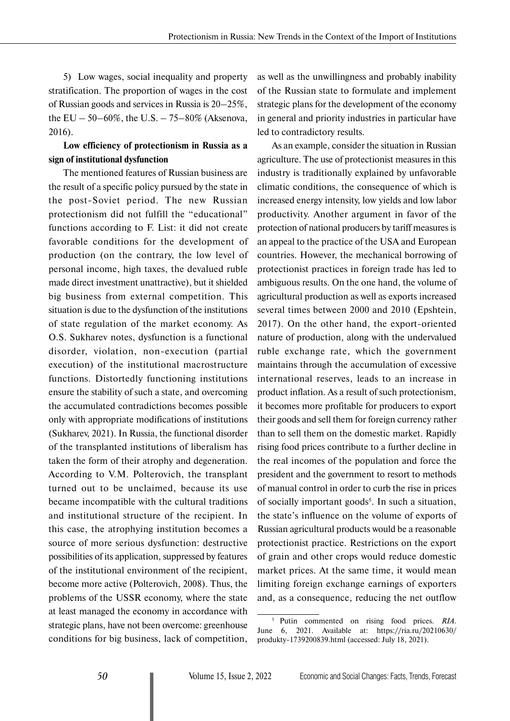5) Low wages, social inequality and property stratification. The proportion of wages in the cost of Russian goods and services in Russia is 20–25%, the EU – 50–60%, the U.S. – 75–80% (Aksenova, 2016).

### **Low efficiency of protectionism in Russia as a sign of institutional dysfunction**

The mentioned features of Russian business are the result of a specific policy pursued by the state in the post-Soviet period. The new Russian protectionism did not fulfill the "educational" functions according to F. List: it did not create favorable conditions for the development of production (on the contrary, the low level of personal income, high taxes, the devalued ruble made direct investment unattractive), but it shielded big business from external competition. This situation is due to the dysfunction of the institutions of state regulation of the market economy. As O.S. Sukharev notes, dysfunction is a functional disorder, violation, non-execution (partial execution) of the institutional macrostructure functions. Distortedly functioning institutions ensure the stability of such a state, and overcoming the accumulated contradictions becomes possible only with appropriate modifications of institutions (Sukharev, 2021). In Russia, the functional disorder of the transplanted institutions of liberalism has taken the form of their atrophy and degeneration. According to V.M. Polterovich, the transplant turned out to be unclaimed, because its use became incompatible with the cultural traditions and institutional structure of the recipient. In this case, the atrophying institution becomes a source of more serious dysfunction: destructive possibilities of its application, suppressed by features of the institutional environment of the recipient, become more active (Polterovich, 2008). Thus, the problems of the USSR economy, where the state at least managed the economy in accordance with strategic plans, have not been overcome: greenhouse conditions for big business, lack of competition,

as well as the unwillingness and probably inability of the Russian state to formulate and implement strategic plans for the development of the economy in general and priority industries in particular have led to contradictory results.

As an example, consider the situation in Russian agriculture. The use of protectionist measures in this industry is traditionally explained by unfavorable climatic conditions, the consequence of which is increased energy intensity, low yields and low labor productivity. Another argument in favor of the protection of national producers by tariff measures is an appeal to the practice of the USA and European countries. However, the mechanical borrowing of protectionist practices in foreign trade has led to ambiguous results. On the one hand, the volume of agricultural production as well as exports increased several times between 2000 and 2010 (Epshtein, 2017). On the other hand, the export-oriented nature of production, along with the undervalued ruble exchange rate, which the government maintains through the accumulation of excessive international reserves, leads to an increase in product inflation. As a result of such protectionism, it becomes more profitable for producers to export their goods and sell them for foreign currency rather than to sell them on the domestic market. Rapidly rising food prices contribute to a further decline in the real incomes of the population and force the president and the government to resort to methods of manual control in order to curb the rise in prices of socially important goods<sup>5</sup>. In such a situation, the state's influence on the volume of exports of Russian agricultural products would be a reasonable protectionist practice. Restrictions on the export of grain and other crops would reduce domestic market prices. At the same time, it would mean limiting foreign exchange earnings of exporters and, as a consequence, reducing the net outflow

<sup>5</sup> Putin commented on rising food prices. *RIA*. June 6, 2021. Available at: https://ria.ru/20210630/ produkty-1739200839.html (accessed: July 18, 2021).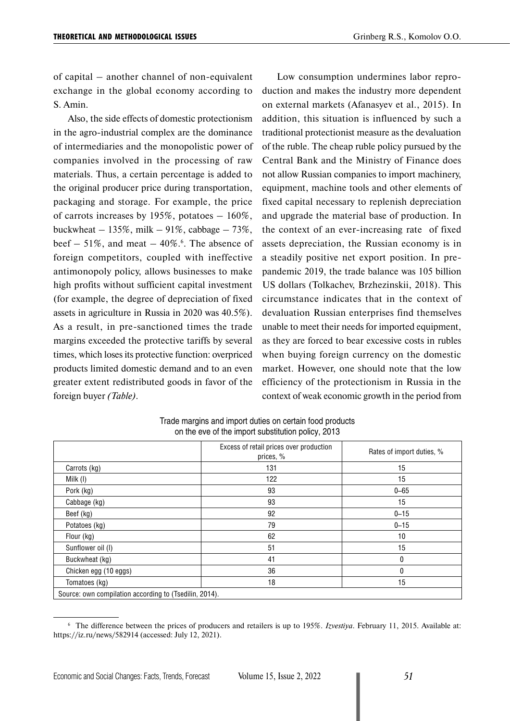of capital – another channel of non-equivalent exchange in the global economy according to S. Amin.

Also, the side effects of domestic protectionism in the agro-industrial complex are the dominance of intermediaries and the monopolistic power of companies involved in the processing of raw materials. Thus, a certain percentage is added to the original producer price during transportation, packaging and storage. For example, the price of carrots increases by 195%, potatoes  $-160\%$ , buckwheat  $-135\%$ , milk  $-91\%$ , cabbage  $-73\%$ , beef  $-51\%$ , and meat  $-40\%$ .<sup>6</sup>. The absence of foreign competitors, coupled with ineffective antimonopoly policy, allows businesses to make high profits without sufficient capital investment (for example, the degree of depreciation of fixed assets in agriculture in Russia in 2020 was 40.5%). As a result, in pre-sanctioned times the trade margins exceeded the protective tariffs by several times, which loses its protective function: overpriced products limited domestic demand and to an even greater extent redistributed goods in favor of the foreign buyer *(Table)*.

Low consumption undermines labor reproduction and makes the industry more dependent on external markets (Afanasyev et al., 2015). In addition, this situation is influenced by such a traditional protectionist measure as the devaluation of the ruble. The cheap ruble policy pursued by the Central Bank and the Ministry of Finance does not allow Russian companies to import machinery, equipment, machine tools and other elements of fixed capital necessary to replenish depreciation and upgrade the material base of production. In the context of an ever-increasing rate of fixed assets depreciation, the Russian economy is in a steadily positive net export position. In prepandemic 2019, the trade balance was 105 billion US dollars (Tolkachev, Brzhezinskii, 2018). This circumstance indicates that in the context of devaluation Russian enterprises find themselves unable to meet their needs for imported equipment, as they are forced to bear excessive costs in rubles when buying foreign currency on the domestic market. However, one should note that the low efficiency of the protectionism in Russia in the context of weak economic growth in the period from

|                                                        | Excess of retail prices over production<br>prices, % | Rates of import duties, % |
|--------------------------------------------------------|------------------------------------------------------|---------------------------|
| Carrots (kg)                                           | 131                                                  | 15                        |
| Milk (I)                                               | 122                                                  | 15                        |
| Pork (kg)                                              | 93                                                   | $0 - 65$                  |
| Cabbage (kg)                                           | 93                                                   | 15                        |
| Beef (kg)                                              | 92                                                   | $0 - 15$                  |
| Potatoes (kg)                                          | 79                                                   | $0 - 15$                  |
| Flour (kg)                                             | 62                                                   | 10                        |
| Sunflower oil (I)                                      | 51                                                   | 15                        |
| Buckwheat (kg)                                         | 41                                                   | $\mathbf{0}$              |
| Chicken egg (10 eggs)                                  | 36                                                   | 0                         |
| Tomatoes (kg)                                          | 18                                                   | 15                        |
| Source: own compilation according to (Tsedilin, 2014). |                                                      |                           |

Trade margins and import duties on certain food products on the eve of the import substitution policy, 2013

<sup>6</sup> The difference between the prices of producers and retailers is up to 195%. *Izvestiya*. February 11, 2015. Available at: https://iz.ru/news/582914 (accessed: July 12, 2021).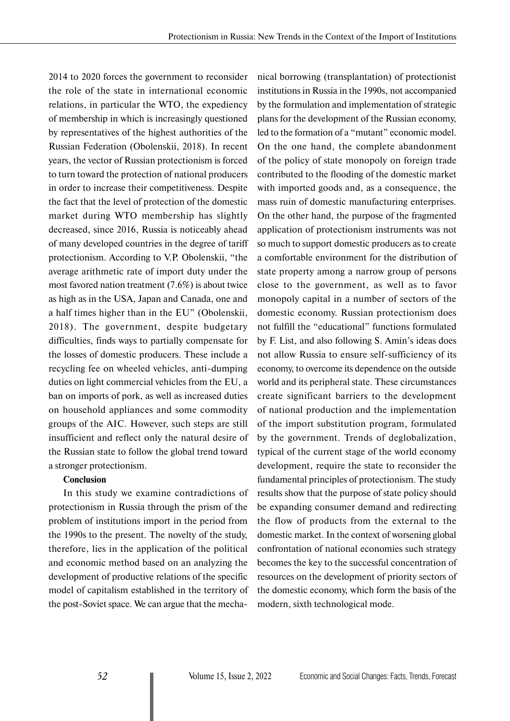2014 to 2020 forces the government to reconsider the role of the state in international economic relations, in particular the WTO, the expediency of membership in which is increasingly questioned by representatives of the highest authorities of the Russian Federation (Obolenskii, 2018). In recent years, the vector of Russian protectionism is forced to turn toward the protection of national producers in order to increase their competitiveness. Despite the fact that the level of protection of the domestic market during WTO membership has slightly decreased, since 2016, Russia is noticeably ahead of many developed countries in the degree of tariff protectionism. According to V.P. Obolenskii, "the average arithmetic rate of import duty under the most favored nation treatment (7.6%) is about twice as high as in the USA, Japan and Canada, one and a half times higher than in the EU" (Obolenskii, 2018). The government, despite budgetary difficulties, finds ways to partially compensate for the losses of domestic producers. These include a recycling fee on wheeled vehicles, anti-dumping duties on light commercial vehicles from the EU, a ban on imports of pork, as well as increased duties on household appliances and some commodity groups of the AIC. However, such steps are still insufficient and reflect only the natural desire of the Russian state to follow the global trend toward a stronger protectionism.

### **Conclusion**

In this study we examine contradictions of protectionism in Russia through the prism of the problem of institutions import in the period from the 1990s to the present. The novelty of the study, therefore, lies in the application of the political and economic method based on an analyzing the development of productive relations of the specific model of capitalism established in the territory of the post-Soviet space. We can argue that the mechanical borrowing (transplantation) of protectionist institutions in Russia in the 1990s, not accompanied by the formulation and implementation of strategic plans for the development of the Russian economy, led to the formation of a "mutant" economic model. On the one hand, the complete abandonment of the policy of state monopoly on foreign trade contributed to the flooding of the domestic market with imported goods and, as a consequence, the mass ruin of domestic manufacturing enterprises. On the other hand, the purpose of the fragmented application of protectionism instruments was not so much to support domestic producers as to create a comfortable environment for the distribution of state property among a narrow group of persons close to the government, as well as to favor monopoly capital in a number of sectors of the domestic economy. Russian protectionism does not fulfill the "educational" functions formulated by F. List, and also following S. Amin's ideas does not allow Russia to ensure self-sufficiency of its economy, to overcome its dependence on the outside world and its peripheral state. These circumstances create significant barriers to the development of national production and the implementation of the import substitution program, formulated by the government. Trends of deglobalization, typical of the current stage of the world economy development, require the state to reconsider the fundamental principles of protectionism. The study results show that the purpose of state policy should be expanding consumer demand and redirecting the flow of products from the external to the domestic market. In the context of worsening global confrontation of national economies such strategy becomes the key to the successful concentration of resources on the development of priority sectors of the domestic economy, which form the basis of the modern, sixth technological mode.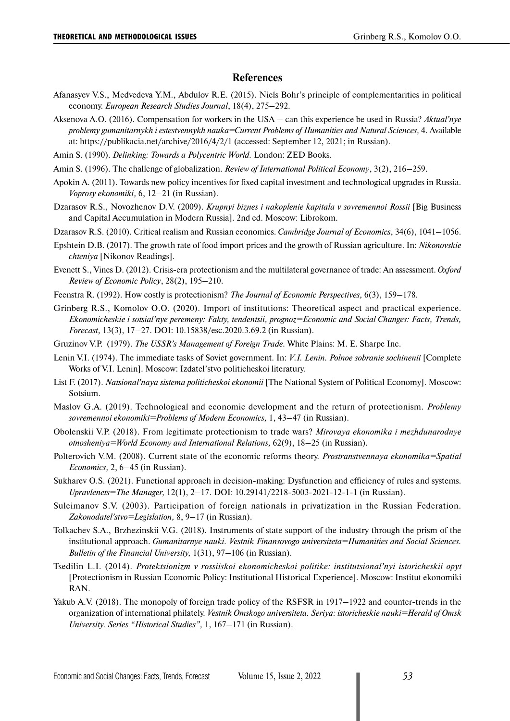#### **References**

- Afanasyev V.S., Medvedeva Y.M., Abdulov R.E. (2015). Niels Bohr's principle of complementarities in political economy. *European Research Studies Journal*, 18(4), 275–292.
- Aksenova A.O. (2016). Compensation for workers in the USA can this experience be used in Russia? *Aktual'nye problemy gumanitarnykh i estestvennykh nauka=Current Problems of Humanities and Natural Sciences,* 4. Available at: https://publikacia.net/archive/2016/4/2/1 (accessed: September 12, 2021; in Russian).
- Amin S. (1990). *Delinking: Towards a Polycentric World.* London: ZED Books.
- Amin S. (1996). The challenge of globalization. *Review of International Political Economy*, 3(2), 216–259.
- Apokin A. (2011). Towards new policy incentives for fixed capital investment and technological upgrades in Russia. *Voprosy ekonomiki,* 6, 12–21 (in Russian).
- Dzarasov R.S., Novozhenov D.V. (2009). *Krupnyi biznes i nakoplenie kapitala v sovremennoi Rossii* [Big Business and Capital Accumulation in Modern Russia]. 2nd ed. Moscow: Librokom.
- Dzarasov R.S. (2010). Critical realism and Russian economics. *Cambridge Journal of Economics*, 34(6), 1041–1056.
- Epshtein D.B. (2017). The growth rate of food import prices and the growth of Russian agriculture. In: *Nikonovskie chteniya* [Nikonov Readings].
- Evenett S., Vines D. (2012). Crisis-era protectionism and the multilateral governance of trade: An assessment. *Oxford Review of Economic Policy*, 28(2), 195–210.
- Feenstra R. (1992). How costly is protectionism? *The Journal of Economic Perspectives,* 6(3), 159–178.
- Grinberg R.S., Komolov O.O. (2020). Import of institutions: Theoretical aspect and practical experience. *Ekonomicheskie i sotsial'nye peremeny: Fakty, tendentsii, prognoz=Economic and Social Changes: Facts, Trends, Forecast,* 13(3), 17–27. DOI: 10.15838/esc.2020.3.69.2 (in Russian).
- Gruzinov V.P. (1979). *The USSR's Management of Foreign Trade.* White Plains: M. E. Sharpe Inc.
- Lenin V.I. (1974). The immediate tasks of Soviet government. In: *V.I. Lenin. Polnoe sobranie sochinenii* [Complete Works of V.I. Lenin]. Moscow: Izdatel'stvo politicheskoi literatury.
- List F. (2017). *Natsional'naya sistema politicheskoi ekonomii* [The National System of Political Economy]. Moscow: Sotsium.
- Maslov G.A. (2019). Technological and economic development and the return of protectionism. *Problemy sovremennoi ekonomiki=Problems of Modern Economics,* 1, 43–47 (in Russian).
- Obolenskii V.P. (2018). From legitimate protectionism to trade wars? *Mirovaya ekonomika i mezhdunarodnye otnosheniya=World Eсonomy and International Relations,* 62(9), 18–25 (in Russian).
- Polterovich V.M. (2008). Current state of the economic reforms theory. *Prostranstvennaya ekonomika=Spatial Economics,* 2, 6–45 (in Russian).
- Sukharev O.S. (2021). Functional approach in decision-making: Dysfunction and efficiency of rules and systems. *Upravlenets=The Manager,* 12(1), 2–17. DOI: 10.29141/2218-5003-2021-12-1-1 (in Russian).
- Suleimanov S.V. (2003). Participation of foreign nationals in privatization in the Russian Federation. *Zakonodatel'stvo=Legislation,* 8, 9–17 (in Russian).
- Tolkachev S.A., Brzhezinskii V.G. (2018). Instruments of state support of the industry through the prism of the institutional approach. *Gumanitarnye nauki. Vestnik Finansovogo universiteta=Humanities and Social Sciences. Bulletin of the Financial University,* 1(31), 97–106 (in Russian).
- Tsedilin L.I. (2014). *Protektsionizm v rossiiskoi ekonomicheskoi politike: institutsional'nyi istoricheskii opyt* [Protectionism in Russian Economic Policy: Institutional Historical Experience]. Moscow: Institut ekonomiki RAN.
- Yakub A.V. (2018). The monopoly of foreign trade policy of the RSFSR in 1917–1922 and counter-trends in the organization of international philately. *Vestnik Omskogo universiteta. Seriya: istoricheskie nauki=Herald of Omsk University. Series "Historical Studies",* 1, 167–171 (in Russian).